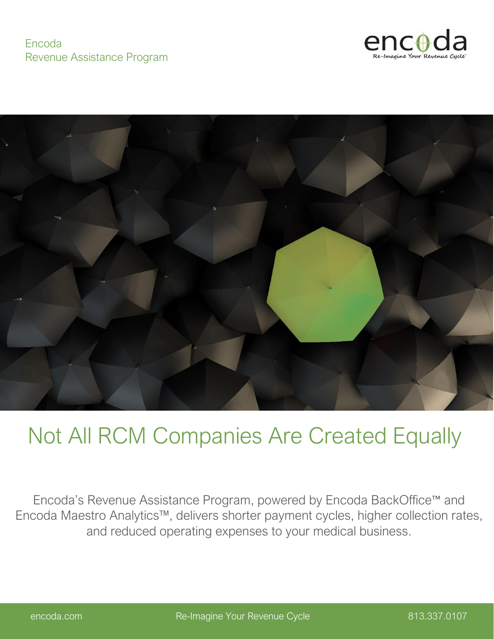#### Encoda Revenue Assistance Program





# Not All RCM Companies Are Created Equally

Encoda's Revenue Assistance Program, powered by Encoda BackOffice™ and Encoda Maestro Analytics™, delivers shorter payment cycles, higher collection rates, and reduced operating expenses to your medical business.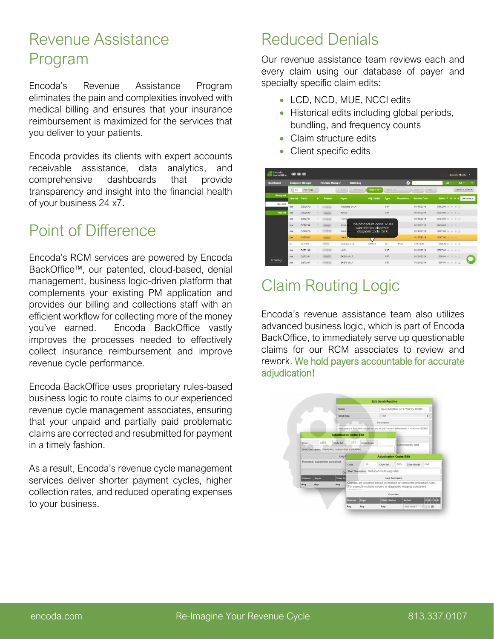# Revenue Assistance Program

Encoda's Revenue Assistance Program eliminates the pain and complexities involved with medical billing and ensures that your insurance reimbursement is maximized for the services that you deliver to your patients.

Encoda provides its clients with expert accounts receivable assistance, data analytics, and comprehensive dashboards that provide transparency and insight into the financial health of your business 24 x7.

# Point of Difference

Encoda's RCM services are powered by Encoda BackOffice™, our patented, cloud-based, denial management, business logic-driven platform that complements your existing PM application and provides our billing and collections staff with an efficient workflow for collecting more of the money you've earned. Encoda BackOffice vastly improves the processes needed to effectively collect insurance reimbursement and improve revenue cycle performance.

Encoda BackOffice uses proprietary rules-based business logic to route claims to our experienced revenue cycle management associates, ensuring that your unpaid and partially paid problematic claims are corrected and resubmitted for payment in a timely fashion.

As a result, Encoda's revenue cycle management services deliver shorter payment cycles, higher collection rates, and reduced operating expenses to your business.

# Reduced Denials

Our revenue assistance team reviews each and every claim using our database of payer and specialty specific claim edits:

- LCD, NCD, MUE, NCCI edits
- Historical edits including global periods, bundling, and frequency counts
- Claim structure edits
- Client specific edits

| <b>Dashboard</b>      |                | <b>Exception Manager</b> |    | <b>Watchdog</b><br><b>Payment Manager</b> |                         |                                                     |          | $\omega$  | $\mathbf{A}$ .<br>All - |                                    |  |
|-----------------------|----------------|--------------------------|----|-------------------------------------------|-------------------------|-----------------------------------------------------|----------|-----------|-------------------------|------------------------------------|--|
|                       | 15             | Per Page ->              |    |                                           | $-Fert$<br>$-$ Provious | Page 1 of 1                                         | Junio To | -         | Next-<br>$L = 1 - 1$    | Select a Filter .                  |  |
| Assigned              | <b>Dataset</b> | Claim                    | ٠  | Patient                                   | Payer                   | Adj. Codes                                          | Type     | Procedure | <b>Service Date</b>     | <b>Billed F H O M</b><br>Resolve - |  |
| General               | der            | D272670                  | đ. |                                           | Medicare of LA          |                                                     | 837      |           | 01/16/2019              | \$812.00 m m m ill                 |  |
| Recent                | der            | D272843                  |    |                                           | Aetna                   |                                                     | 837      |           | 01/17/2019              | \$669.00 m m m a                   |  |
|                       | der            | D272751                  |    |                                           | Humas                   |                                                     |          |           | 01/16/2019              | \$404.00 m m m m                   |  |
|                       | der            | D272754                  |    |                                           | Media                   | The procedure code 1/000<br>can only be billed with |          |           | 01/16/2019              | $$404.00$ m m m m                  |  |
|                       | der            | D272670                  | 4  |                                           | Media                   | diagnosis code L57.0                                |          |           | 01/16/2019              | \$812.00 m m m m                   |  |
|                       | der            | D272963                  |    |                                           | Medica - - - - -        |                                                     |          |           | 01/17/2019              | \$297.00 n n n 1                   |  |
|                       | dor            | D272963                  |    |                                           | Medicare of LA          | DER-40                                              | 837      | 17000     | 01/17/2019              | $$125,00 = 0 = 0$                  |  |
|                       | der            | D273198                  |    |                                           | UHC                     |                                                     | 837      |           | 01/21/2019              | $$727.00$ a a a $\Box$             |  |
|                       | tier           | D273241                  |    |                                           | <b>BCBS of LA</b>       |                                                     | 837      |           | 01/21/2019              | $$90.00 = 0 0 0$                   |  |
| <sup>O</sup> Settings | der            | D273241                  |    |                                           | <b>BCBS of LA</b>       |                                                     | 837      |           | 01/21/2019              | $$90.00 = 0 0$                     |  |

# Claim Routing Logic

Encoda's revenue assistance team also utilizes advanced business logic, which is part of Encoda BackOffice, to immediately serve up questionable claims for our RCM associates to review and rework. We hold payers accountable for accurate adjudication!

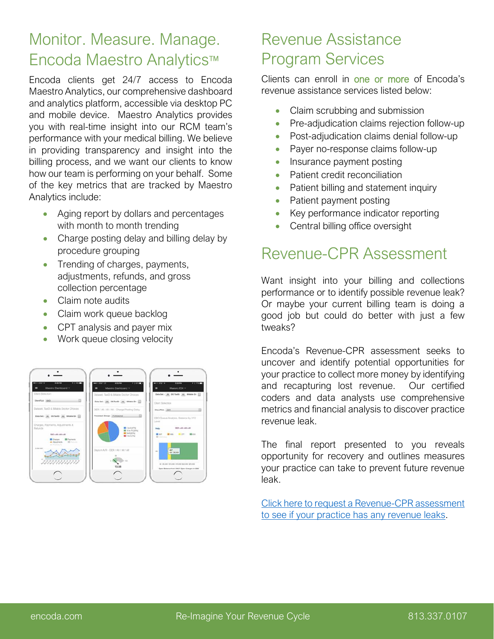# Monitor. Measure. Manage. Encoda Maestro Analytics™

Encoda clients get 24/7 access to Encoda Maestro Analytics, our comprehensive dashboard and analytics platform, accessible via desktop PC and mobile device. Maestro Analytics provides you with real-time insight into our RCM team's performance with your medical billing. We believe in providing transparency and insight into the billing process, and we want our clients to know how our team is performing on your behalf. Some of the key metrics that are tracked by Maestro Analytics include:

- Aging report by dollars and percentages with month to month trending
- Charge posting delay and billing delay by procedure grouping
- Trending of charges, payments, adjustments, refunds, and gross collection percentage
- Claim note audits
- Claim work queue backlog
- CPT analysis and payer mix
- Work queue closing velocity



# Revenue Assistance Program Services

Clients can enroll in one or more of Encoda's revenue assistance services listed below:

- Claim scrubbing and submission
- Pre-adjudication claims rejection follow-up
- Post-adjudication claims denial follow-up
- Payer no-response claims follow-up
- Insurance payment posting
- Patient credit reconciliation
- Patient billing and statement inquiry
- Patient payment posting
- Key performance indicator reporting
- Central billing office oversight

### Revenue-CPR Assessment

Want insight into your billing and collections performance or to identify possible revenue leak? Or maybe your current billing team is doing a good job but could do better with just a few tweaks?

Encoda's Revenue-CPR assessment seeks to uncover and identify potential opportunities for your practice to collect more money by identifying and recapturing lost revenue. Our certified coders and data analysts use comprehensive metrics and financial analysis to discover practice revenue leak.

The final report presented to you reveals opportunity for recovery and outlines measures your practice can take to prevent future revenue leak.

Click here to [request a Revenue-CPR assessment](https://www.encoda.com/revenue-cpr/) to see if your practice has any revenue leaks.